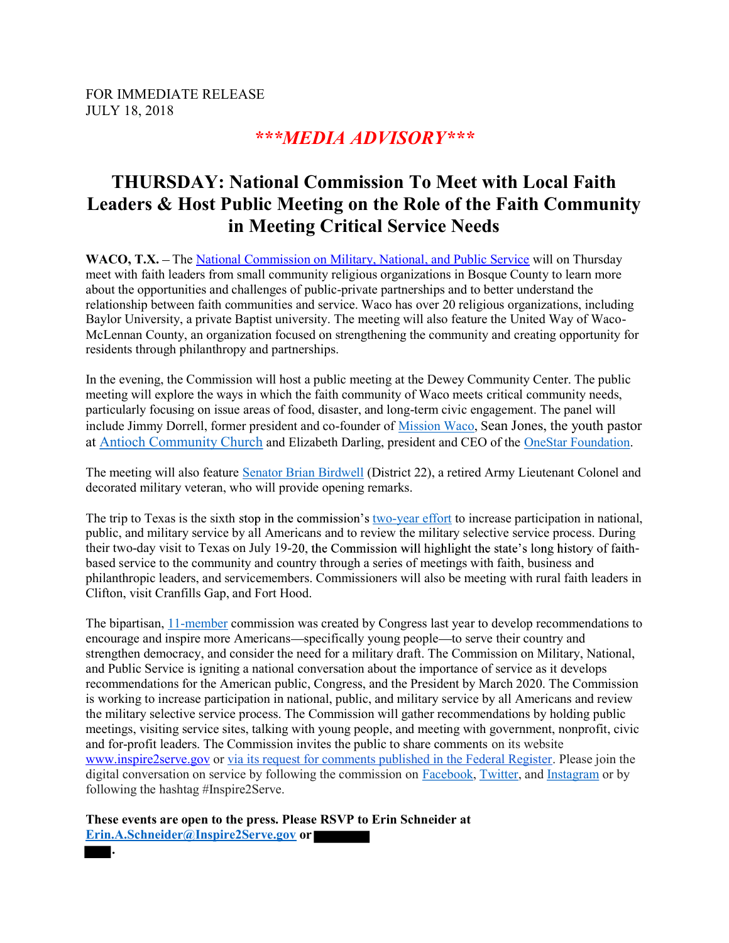FOR IMMEDIATE RELEASE JULY 18, 2018

## \*\*\*MEDIA ADVISORY\*\*\*

# THURSDAY: National Commission To Meet with Local Faith Leaders & Host Public Meeting on the Role of the Faith Community in Meeting Critical Service Needs

WACO, T.X. – The National Commission on Military, National, and Public Service will on Thursday meet with faith leaders from small community religious organizations in Bosque County to learn more about the opportunities and challenges of public-private partnerships and to better understand the relationship between faith communities and service. Waco has over 20 religious organizations, including Baylor University, a private Baptist university. The meeting will also feature the United Way of Waco-McLennan County, an organization focused on strengthening the community and creating opportunity for residents through philanthropy and partnerships.

In the evening, the Commission will host a public meeting at the Dewey Community Center. The public meeting will explore the ways in which the faith community of Waco meets critical community needs, particularly focusing on issue areas of food, disaster, and long-term civic engagement. The panel will include Jimmy Dorrell, former president and co-founder of Mission Waco, Sean Jones, the youth pastor at Antioch Community Church and Elizabeth Darling, president and CEO of the OneStar Foundation.

The meeting will also feature Senator Brian Birdwell (District 22), a retired Army Lieutenant Colonel and decorated military veteran, who will provide opening remarks.

The trip to Texas is the sixth stop in the commission's two-year effort to increase participation in national, public, and military service by all Americans and to review the military selective service process. During their two-day visit to Texas on July 19-20, the Commission will highlight the state's long history of faithbased service to the community and country through a series of meetings with faith, business and philanthropic leaders, and servicemembers. Commissioners will also be meeting with rural faith leaders in Clifton, visit Cranfills Gap, and Fort Hood.

The bipartisan, 11-member commission was created by Congress last year to develop recommendations to encourage and inspire more Americans—specifically young people—to serve their country and strengthen democracy, and consider the need for a military draft. The Commission on Military, National, and Public Service is igniting a national conversation about the importance of service as it develops recommendations for the American public, Congress, and the President by March 2020. The Commission is working to increase participation in national, public, and military service by all Americans and review the military selective service process. The Commission will gather recommendations by holding public meetings, visiting service sites, talking with young people, and meeting with government, nonprofit, civic and for-profit leaders. The Commission invites the public to share comments on its website www.inspire2serve.gov or via its request for comments published in the Federal Register. Please join the digital conversation on service by following the commission on Facebook, Twitter, and Instagram or by following the hashtag #Inspire2Serve.

These events are open to the press. Please RSVP to Erin Schneider at Erin.A.Schneider@Inspire2Serve.gov or

.